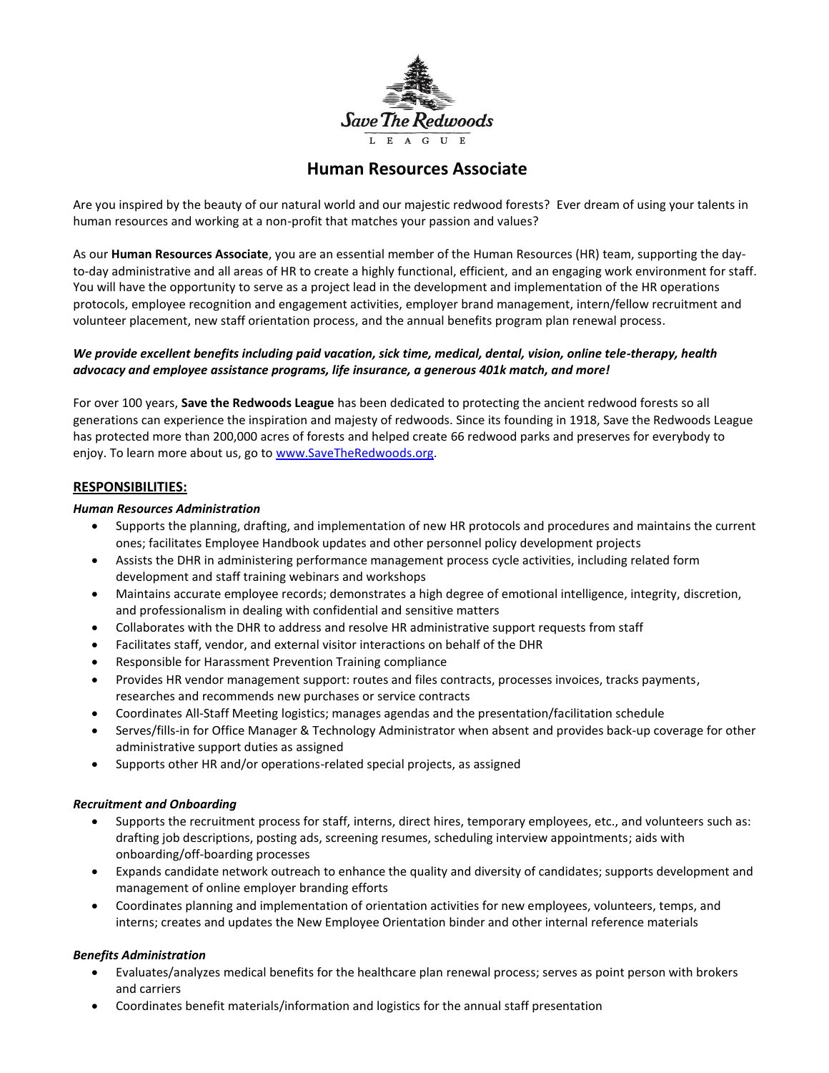

# **Human Resources Associate**

Are you inspired by the beauty of our natural world and our majestic redwood forests? Ever dream of using your talents in human resources and working at a non-profit that matches your passion and values?

As our **Human Resources Associate**, you are an essential member of the Human Resources (HR) team, supporting the dayto-day administrative and all areas of HR to create a highly functional, efficient, and an engaging work environment for staff. You will have the opportunity to serve as a project lead in the development and implementation of the HR operations protocols, employee recognition and engagement activities, employer brand management, intern/fellow recruitment and volunteer placement, new staff orientation process, and the annual benefits program plan renewal process.

# *We provide excellent benefits including paid vacation, sick time, medical, dental, vision, online tele-therapy, health advocacy and employee assistance programs, life insurance, a generous 401k match, and more!*

For over 100 years, **Save the Redwoods League** has been dedicated to protecting the ancient redwood forests so all generations can experience the inspiration and majesty of redwoods. Since its founding in 1918, Save the Redwoods League has protected more than 200,000 acres of forests and helped create 66 redwood parks and preserves for everybody to enjoy. To learn more about us, go to www.SaveTheRedwoods.org.

# **RESPONSIBILITIES:**

#### *Human Resources Administration*

- Supports the planning, drafting, and implementation of new HR protocols and procedures and maintains the current ones; facilitates Employee Handbook updates and other personnel policy development projects
- Assists the DHR in administering performance management process cycle activities, including related form development and staff training webinars and workshops
- Maintains accurate employee records; demonstrates a high degree of emotional intelligence, integrity, discretion, and professionalism in dealing with confidential and sensitive matters
- Collaborates with the DHR to address and resolve HR administrative support requests from staff
- Facilitates staff, vendor, and external visitor interactions on behalf of the DHR
- Responsible for Harassment Prevention Training compliance
- Provides HR vendor management support: routes and files contracts, processes invoices, tracks payments, researches and recommends new purchases or service contracts
- Coordinates All-Staff Meeting logistics; manages agendas and the presentation/facilitation schedule
- Serves/fills-in for Office Manager & Technology Administrator when absent and provides back-up coverage for other administrative support duties as assigned
- Supports other HR and/or operations-related special projects, as assigned

### *Recruitment and Onboarding*

- Supports the recruitment process for staff, interns, direct hires, temporary employees, etc., and volunteers such as: drafting job descriptions, posting ads, screening resumes, scheduling interview appointments; aids with onboarding/off-boarding processes
- Expands candidate network outreach to enhance the quality and diversity of candidates; supports development and management of online employer branding efforts
- Coordinates planning and implementation of orientation activities for new employees, volunteers, temps, and interns; creates and updates the New Employee Orientation binder and other internal reference materials

### *Benefits Administration*

- Evaluates/analyzes medical benefits for the healthcare plan renewal process; serves as point person with brokers and carriers
- Coordinates benefit materials/information and logistics for the annual staff presentation